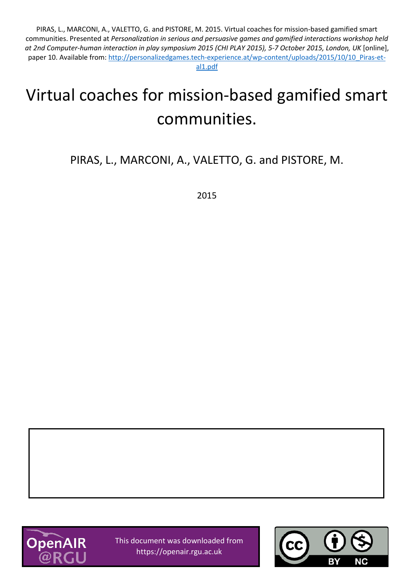PIRAS, L., MARCONI, A., VALETTO, G. and PISTORE, M. 2015. Virtual coaches for mission-based gamified smart communities. Presented at *Personalization in serious and persuasive games and gamified interactions workshop held at 2nd Computer-human interaction in play symposium 2015 (CHI PLAY 2015), 5-7 October 2015, London, UK* [online], paper 10. Available from: [http://personalizedgames.tech-experience.at/wp-content/uploads/2015/10/10\\_Piras-et](http://personalizedgames.tech-experience.at/wp-content/uploads/2015/10/10_Piras-et-al1.pdf)[al1.pdf](http://personalizedgames.tech-experience.at/wp-content/uploads/2015/10/10_Piras-et-al1.pdf)

# Virtual coaches for mission-based gamified smart communities.

PIRAS, L., MARCONI, A., VALETTO, G. and PISTORE, M.

2015



This document was downloaded from https://openair.rgu.ac.uk

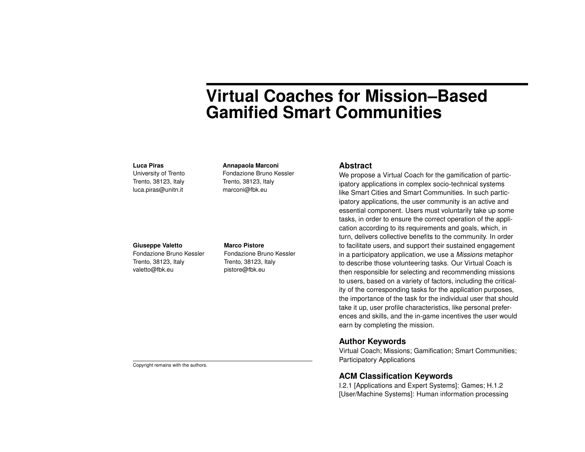# **Virtual Coaches for Mission–Based Gamified Smart Communities**

#### **Luca Piras**

University of Trento Trento, 38123, Italy luca.piras@unitn.it

#### **Annapaola Marconi**

Fondazione Bruno Kessler Trento, 38123, Italy marconi@fbk.eu

# **Giuseppe Valetto**

Fondazione Bruno Kessler Trento, 38123, Italy valetto@fbk.eu

#### **Marco Pistore**

Fondazione Bruno Kessler Trento, 38123, Italy pistore@fbk.eu

#### **Abstract**

We propose a Virtual Coach for the gamification of participatory applications in complex socio-technical systems like Smart Cities and Smart Communities. In such participatory applications, the user community is an active and essential component. Users must voluntarily take up some tasks, in order to ensure the correct operation of the application according to its requirements and goals, which, in turn, delivers collective benefits to the community. In order to facilitate users, and support their sustained engagement in a participatory application, we use a *Missions* metaphor to describe those volunteering tasks. Our Virtual Coach is then responsible for selecting and recommending missions to users, based on a variety of factors, including the criticality of the corresponding tasks for the application purposes, the importance of the task for the individual user that should take it up, user profile characteristics, like personal preferences and skills, and the in-game incentives the user would earn by completing the mission.

## **Author Keywords**

Virtual Coach; Missions; Gamification; Smart Communities; Participatory Applications

# **ACM Classification Keywords**

I.2.1 [Applications and Expert Systems]: Games; H.1.2 [User/Machine Systems]: Human information processing

Copyright remains with the authors.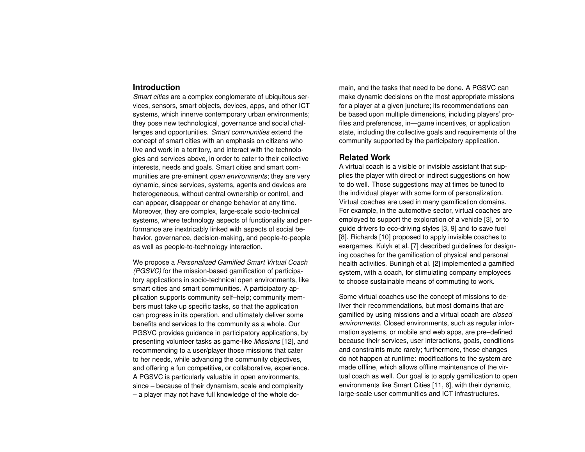#### **Introduction**

*Smart cities* are a complex conglomerate of ubiquitous services, sensors, smart objects, devices, apps, and other ICT systems, which innerve contemporary urban environments; they pose new technological, governance and social challenges and opportunities. *Smart communities* extend the concept of smart cities with an emphasis on citizens who live and work in a territory, and interact with the technologies and services above, in order to cater to their collective interests, needs and goals. Smart cities and smart communities are pre-eminent *open environments*; they are very dynamic, since services, systems, agents and devices are heterogeneous, without central ownership or control, and can appear, disappear or change behavior at any time. Moreover, they are complex, large-scale socio-technical systems, where technology aspects of functionality and performance are inextricably linked with aspects of social behavior, governance, decision-making, and people-to-people as well as people-to-technology interaction.

We propose a *Personalized Gamified Smart Virtual Coach (PGSVC)* for the mission-based gamification of participatory applications in socio-technical open environments, like smart cities and smart communities. A participatory application supports community self–help; community members must take up specific tasks, so that the application can progress in its operation, and ultimately deliver some benefits and services to the community as a whole. Our PGSVC provides guidance in participatory applications, by presenting volunteer tasks as game-like *Missions* [\[12\]](#page-5-0), and recommending to a user/player those missions that cater to her needs, while advancing the community objectives, and offering a fun competitive, or collaborative, experience. A PGSVC is particularly valuable in open environments, since – because of their dynamism, scale and complexity – a player may not have full knowledge of the whole domain, and the tasks that need to be done. A PGSVC can make dynamic decisions on the most appropriate missions for a player at a given juncture; its recommendations can be based upon multiple dimensions, including players' profiles and preferences, in—game incentives, or application state, including the collective goals and requirements of the community supported by the participatory application.

#### **Related Work**

A virtual coach is a visible or invisible assistant that supplies the player with direct or indirect suggestions on how to do well. Those suggestions may at times be tuned to the individual player with some form of personalization. Virtual coaches are used in many gamification domains. For example, in the automotive sector, virtual coaches are employed to support the exploration of a vehicle [\[3\]](#page-5-1), or to guide drivers to eco-driving styles [\[3,](#page-5-1) [9\]](#page-5-2) and to save fuel [\[8\]](#page-5-3). Richards [\[10\]](#page-5-4) proposed to apply invisible coaches to exergames. Kulyk et al. [\[7\]](#page-5-5) described guidelines for designing coaches for the gamification of physical and personal health activities. Buningh et al. [\[2\]](#page-5-6) implemented a gamified system, with a coach, for stimulating company employees to choose sustainable means of commuting to work.

Some virtual coaches use the concept of missions to deliver their recommendations, but most domains that are gamified by using missions and a virtual coach are *closed environments*. Closed environments, such as regular information systems, or mobile and web apps, are pre–defined because their services, user interactions, goals, conditions and constraints mute rarely; furthermore, those changes do not happen at runtime: modifications to the system are made offline, which allows offline maintenance of the virtual coach as well. Our goal is to apply gamification to open environments like Smart Cities [\[11,](#page-5-7) [6\]](#page-5-8), with their dynamic, large-scale user communities and ICT infrastructures.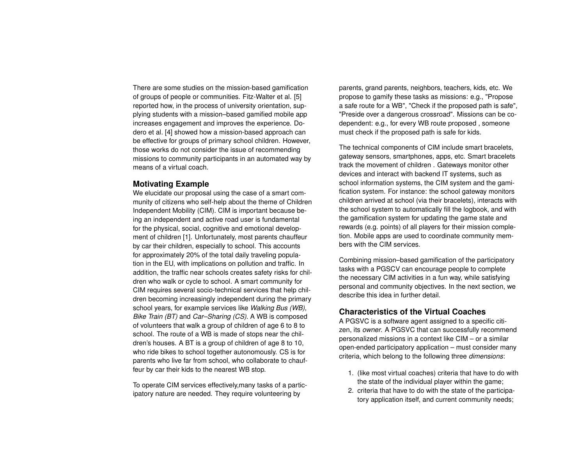There are some studies on the mission-based gamification of groups of people or communities. Fitz-Walter et al. [\[5\]](#page-5-9) reported how, in the process of university orientation, supplying students with a mission–based gamified mobile app increases engagement and improves the experience. Dodero et al. [\[4\]](#page-5-10) showed how a mission-based approach can be effective for groups of primary school children. However, those works do not consider the issue of recommending missions to community participants in an automated way by means of a virtual coach.

## **Motivating Example**

We elucidate our proposal using the case of a smart community of citizens who self-help about the theme of Children Independent Mobility (CIM). CIM is important because being an independent and active road user is fundamental for the physical, social, cognitive and emotional development of children [\[1\]](#page-5-11). Unfortunately, most parents chauffeur by car their children, especially to school. This accounts for approximately 20% of the total daily traveling population in the EU, with implications on pollution and traffic. In addition, the traffic near schools creates safety risks for children who walk or cycle to school. A smart community for CIM requires several socio-technical services that help children becoming increasingly independent during the primary school years, for example services like *Walking Bus (WB)*, *Bike Train (BT)* and *Car–Sharing (CS)*. A WB is composed of volunteers that walk a group of children of age 6 to 8 to school. The route of a WB is made of stops near the children's houses. A BT is a group of children of age 8 to 10, who ride bikes to school together autonomously. CS is for parents who live far from school, who collaborate to chauffeur by car their kids to the nearest WB stop.

To operate CIM services effectively,many tasks of a participatory nature are needed. They require volunteering by

parents, grand parents, neighbors, teachers, kids, etc. We propose to gamify these tasks as missions: e.g., "Propose a safe route for a WB", "Check if the proposed path is safe", "Preside over a dangerous crossroad". Missions can be codependent: e.g., for every WB route proposed , someone must check if the proposed path is safe for kids.

The technical components of CIM include smart bracelets, gateway sensors, smartphones, apps, etc. Smart bracelets track the movement of children . Gateways monitor other devices and interact with backend IT systems, such as school information systems, the CIM system and the gamification system. For instance: the school gateway monitors children arrived at school (via their bracelets), interacts with the school system to automatically fill the logbook, and with the gamification system for updating the game state and rewards (e.g. points) of all players for their mission completion. Mobile apps are used to coordinate community members with the CIM services.

Combining mission–based gamification of the participatory tasks with a PGSCV can encourage people to complete the necessary CIM activities in a fun way, while satisfying personal and community objectives. In the next section, we describe this idea in further detail.

#### **Characteristics of the Virtual Coaches**

A PGSVC is a software agent assigned to a specific citizen, its *owner*. A PGSVC that can successfully recommend personalized missions in a context like CIM – or a similar open-ended participatory application – must consider many criteria, which belong to the following three *dimensions*:

- 1. (like most virtual coaches) criteria that have to do with the state of the individual player within the game;
- 2. criteria that have to do with the state of the participatory application itself, and current community needs;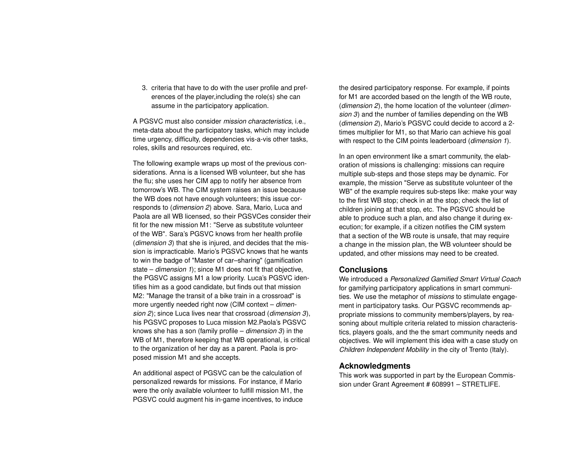3. criteria that have to do with the user profile and preferences of the player,including the role(s) she can assume in the participatory application.

A PGSVC must also consider *mission characteristics*, i.e., meta-data about the participatory tasks, which may include time urgency, difficulty, dependencies vis-a-vis other tasks, roles, skills and resources required, etc.

The following example wraps up most of the previous considerations. Anna is a licensed WB volunteer, but she has the flu; she uses her CIM app to notify her absence from tomorrow's WB. The CIM system raises an issue because the WB does not have enough volunteers; this issue corresponds to (*dimension 2*) above. Sara, Mario, Luca and Paola are all WB licensed, so their PGSVCes consider their fit for the new mission M1: "Serve as substitute volunteer of the WB". Sara's PGSVC knows from her health profile (*dimension 3*) that she is injured, and decides that the mission is impracticable. Mario's PGSVC knows that he wants to win the badge of "Master of car–sharing" (gamification state – *dimension 1*); since M1 does not fit that objective, the PGSVC assigns M1 a low priority. Luca's PGSVC identifies him as a good candidate, but finds out that mission M2: "Manage the transit of a bike train in a crossroad" is more urgently needed right now (CIM context – *dimension 2*); since Luca lives near that crossroad (*dimension 3*), his PGSVC proposes to Luca mission M2.Paola's PGSVC knows she has a son (family profile – *dimension 3*) in the WB of M1, therefore keeping that WB operational, is critical to the organization of her day as a parent. Paola is proposed mission M1 and she accepts.

An additional aspect of PGSVC can be the calculation of personalized rewards for missions. For instance, if Mario were the only available volunteer to fulfill mission M1, the PGSVC could augment his in-game incentives, to induce

the desired participatory response. For example, if points for M1 are accorded based on the length of the WB route, (*dimension 2*), the home location of the volunteer (*dimension 3*) and the number of families depending on the WB (*dimension 2*), Mario's PGSVC could decide to accord a 2 times multiplier for M1, so that Mario can achieve his goal with respect to the CIM points leaderboard (*dimension 1*).

In an open environment like a smart community, the elaboration of missions is challenging: missions can require multiple sub-steps and those steps may be dynamic. For example, the mission "Serve as substitute volunteer of the WB" of the example requires sub-steps like: make your way to the first WB stop; check in at the stop; check the list of children joining at that stop, etc. The PGSVC should be able to produce such a plan, and also change it during execution; for example, if a citizen notifies the CIM system that a section of the WB route is unsafe, that may require a change in the mission plan, the WB volunteer should be updated, and other missions may need to be created.

#### **Conclusions**

We introduced a *Personalized Gamified Smart Virtual Coach* for gamifying participatory applications in smart communities. We use the metaphor of *missions* to stimulate engagement in participatory tasks. Our PGSVC recommends appropriate missions to community members/players, by reasoning about multiple criteria related to mission characteristics, players goals, and the the smart community needs and objectives. We will implement this idea with a case study on *Children Independent Mobility* in the city of Trento (Italy).

# **Acknowledgments**

This work was supported in part by the European Commission under Grant Agreement # 608991 - STRETLIFE.